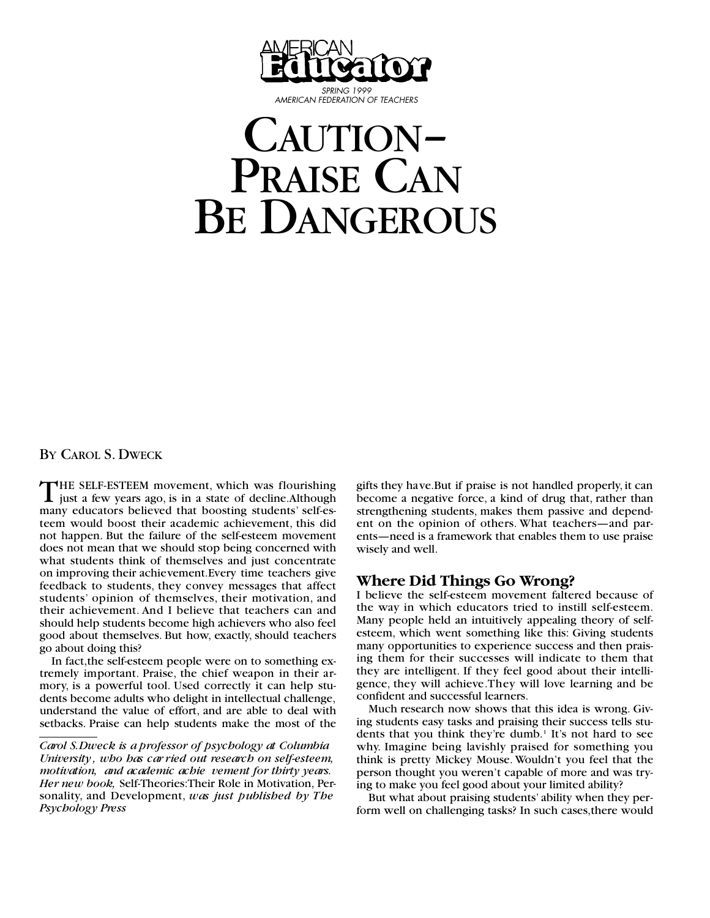

# CAUTION-PRAISE CAN BE DANGEROUS

#### BY CAROL S. DWECK

THE SELF-ESTEEM movement, which was flourishing<br>just a few years ago, is in a state of decline.<br>Although HE SELF-ESTEEM movement, which was flourishing many educators believed that boosting students' self-esteem would boost their academic achievement, this did not happen. But the failure of the self-esteem movement does not mean that we should stop being concerned with what students think of themselves and just concentrate on improving their achievement.Every time teachers give feedback to students, they convey messages that affect students' opinion of themselves, their motivation, and their achievement. And I believe that teachers can and should help students become high achievers who also feel good about themselves. But how, exactly, should teachers go about doing this?

In fact,the self-esteem people were on to something extremely important. Praise, the chief weapon in their armory, is a powerful tool. Used correctly it can help students become adults who delight in intellectual challenge, understand the value of effort, and are able to deal with setbacks. Praise can help students make the most of the gifts they have.But if praise is not handled properly, it can become a negative force, a kind of drug that, rather than strengthening students, makes them passive and dependent on the opinion of others. What teachers—and parents—need is a framework that enables them to use praise wisely and well.

## **Where Did Things Go Wrong?**

I believe the self-esteem movement faltered because of the way in which educators tried to instill self-esteem. Many people held an intuitively appealing theory of selfesteem, which went something like this: Giving students many opportunities to experience success and then praising them for their successes will indicate to them that they are intelligent. If they feel good about their intelligence, they will achieve. They will love learning and be confident and successful learners.

Much research now shows that this idea is wrong. Giving students easy tasks and praising their success tells students that you think they're dumb.<sup>1</sup> It's not hard to see why. Imagine being lavishly praised for something you think is pretty Mickey Mouse. Wouldn't you feel that the person thought you weren't capable of more and was trying to make you feel good about your limited ability?

But what about praising students' ability when they perform well on challenging tasks? In such cases,there would

*Carol S.Dweck is a professor of psychology at Columbia University , who has car ried out research on self-esteem, motivation, and academic achie vement for thirty years. Her new book,* Self-Theories:Their Role in Motivation, Personality, and Development, *was just published by The Psychology Press*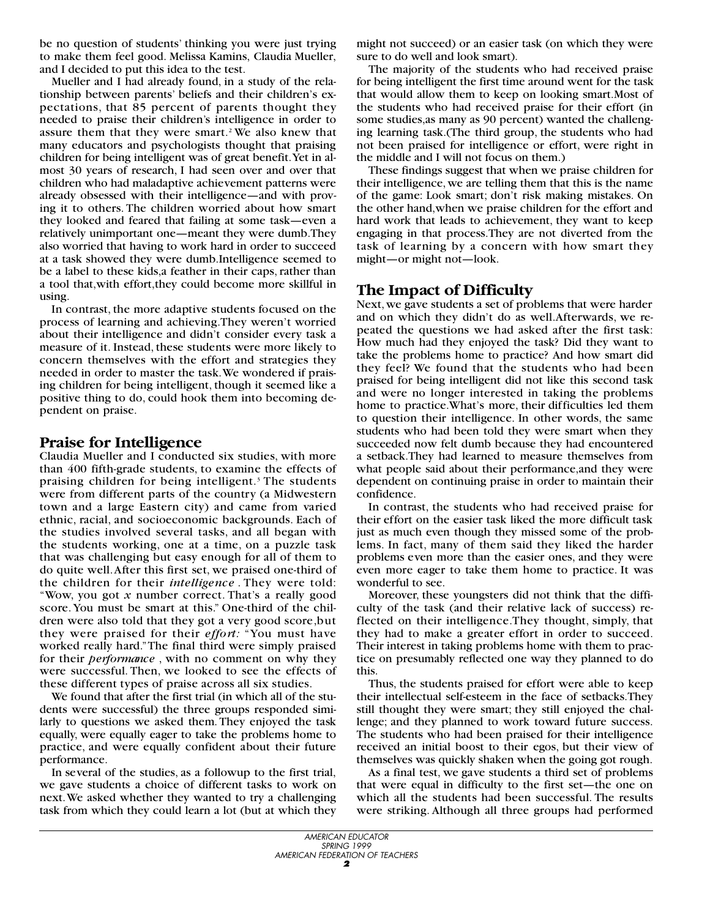be no question of students' thinking you were just trying to make them feel good. Melissa Kamins, Claudia Mueller, and I decided to put this idea to the test.

Mueller and I had already found, in a study of the relationship between parents' beliefs and their children's expectations, that 85 percent of parents thought they needed to praise their children's intelligence in order to assure them that they were smart.<sup>2</sup> We also knew that many educators and psychologists thought that praising children for being intelligent was of great benefit.Yet in almost 30 years of research, I had seen over and over that children who had maladaptive achievement patterns were already obsessed with their intelligence—and with proving it to others. The children worried about how smart they looked and feared that failing at some task—even a relatively unimportant one—meant they were dumb.They also worried that having to work hard in order to succeed at a task showed they were dumb.Intelligence seemed to be a label to these kids, a feather in their caps, rather than a tool that,with effort,they could become more skillful in using.

In contrast, the more adaptive students focused on the process of learning and achieving. They weren't worried about their intelligence and didn't consider every task a measure of it. Instead, these students were more likely to concern themselves with the effort and strategies they needed in order to master the task. We wondered if praising children for being intelligent, though it seemed like a positive thing to do, could hook them into becoming dependent on praise.

#### **Praise for Intelligence**

Claudia Mueller and I conducted six studies, with more than 400 fifth-grade students, to examine the effects of praising children for being intelligent.<sup>3</sup> The students were from different parts of the country (a Midwestern town and a large Eastern city) and came from varied e thnic, racial, and socioeconomic backgrounds. Each of the studies involved several tasks, and all began with the students working, one at a time, on a puzzle task that was challenging but easy enough for all of them to do quite well. After this first set, we praised one-third of the children for their *intelligence*. They were told: "Wow, you got x number correct. That's a really good score. You must be smart at this." One-third of the children were also told that they got a very good score, but they were praised for their *effort:* "You must have worked really hard." The final third were simply praised for their *performance*, with no comment on why they were successful. Then, we looked to see the effects of these different types of praise across all six studies.

We found that after the first trial (in which all of the students were successful) the three groups responded similarly to questions we asked them. They enjoyed the task equally, were equally eager to take the problems home to practice, and were equally confident about their future performance.

In several of the studies, as a followup to the first trial, we gave students a choice of different tasks to work on next.We asked whether they wanted to try a challenging task from which they could learn a lot (but at which they

might not succeed) or an easier task (on which they were sure to do well and look smart).

The majority of the students who had received praise for being intelligent the first time around went for the task that would allow them to keep on looking smart.Most of the students who had received praise for their effort (in some studies,as many as 90 percent) wanted the challenging learning task.(The third group, the students who had not been praised for intelligence or effort, were right in the middle and I will not focus on them.)

These findings suggest that when we praise children for their intelligence, we are telling them that this is the name of the game: Look smart; don't risk making mistakes. On the other hand,when we praise children for the effort and hard work that leads to achievement, they want to keep engaging in that process.They are not diverted from the task of learning by a concern with how smart they might—or might not—look.

#### **The Impact of Difficulty**

Next, we gave students a set of problems that were harder and on which they didn't do as well. Afterwards, we repeated the questions we had asked after the first task: How much had they enjoyed the task? Did they want to take the problems home to practice? And how smart did they feel? We found that the students who had been praised for being intelligent did not like this second task and were no longer interested in taking the problems home to practice.What's more, their difficulties led them to question their intelligence. In other words, the same students who had been told they were smart when they succeeded now felt dumb because they had encountered a setback.They had learned to measure themselves from what people said about their performance,and they were dependent on continuing praise in order to maintain their confidence.

In contrast, the students who had received praise for their effort on the easier task liked the more difficult task just as much even though they missed some of the problems. In fact, many of them said they liked the harder problems even more than the easier ones, and they were even more eager to take them home to practice. It was wonderful to see.

Moreover, these youngsters did not think that the difficulty of the task (and their relative lack of success) reflected on their intelligence. They thought, simply, that they had to make a greater effort in order to succeed. Their interest in taking problems home with them to practice on presumably reflected one way they planned to do this.

Thus, the students praised for effort were able to keep their intellectual self-esteem in the face of setbacks.They still thought they were smart; they still enjoyed the challenge; and they planned to work toward future success. The students who had been praised for their intelligence received an initial boost to their egos, but their view of themselves was quickly shaken when the going got rough.

As a final test, we gave students a third set of problems that were equal in difficulty to the first set—the one on which all the students had been successful. The results were striking. Although all three groups had performed

*2*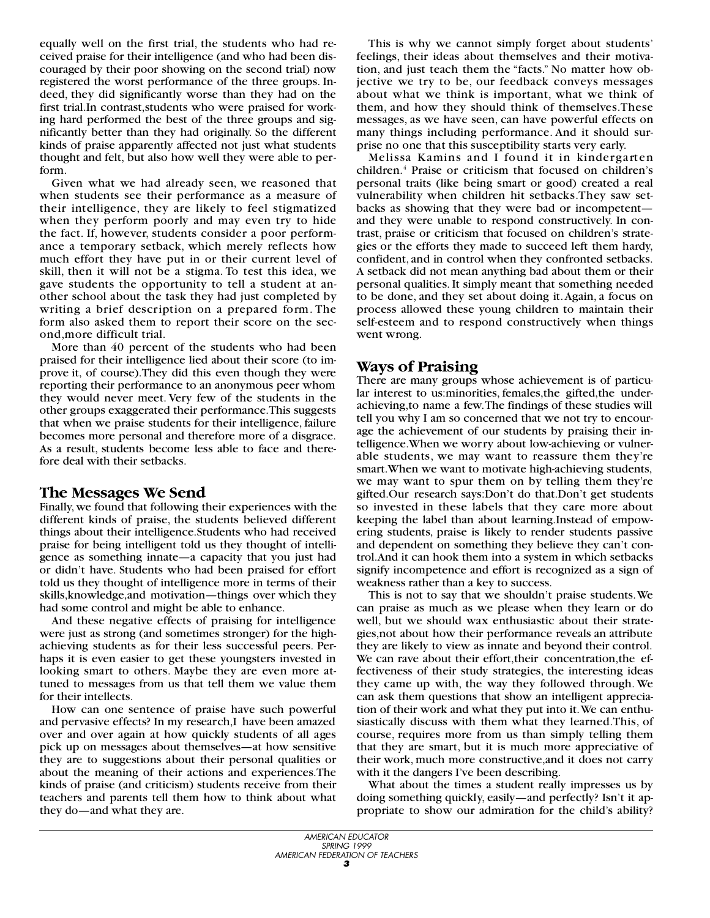equally well on the first trial, the students who had received praise for their intelligence (and who had been discouraged by their poor showing on the second trial) now registered the worst performance of the three groups. Indeed, they did significantly worse than they had on the first trial.In contrast,students who were praised for working hard performed the best of the three groups and significantly better than they had originally. So the different kinds of praise apparently affected not just what students thought and felt, but also how well they were able to perform.

Given what we had already seen, we reasoned that when students see their performance as a measure of their intelligence, they are likely to feel stigmatized when they perform poorly and may even try to hide the fact. If, however, students consider a poor performance a temporary setback, which merely reflects how much effort they have put in or their current level of skill, then it will not be a stigma. To test this idea, we gave students the opportunity to tell a student at another school about the task they had just completed by writing a brief description on a prepared form. The form also asked them to report their score on the second, more difficult trial.

More than 40 percent of the students who had been praised for their intelligence lied about their score (to improve it, of course).They did this even though they were reporting their performance to an anonymous peer whom they would never meet. Very few of the students in the other groups exaggerated their performance.This suggests that when we praise students for their intelligence, failure becomes more personal and therefore more of a disgrace. As a result, students become less able to face and therefore deal with their setbacks.

#### **The Messages We Send**

Finally, we found that following their experiences with the different kinds of praise, the students believed different things about their intelligence.Students who had received praise for being intelligent told us they thought of intelligence as something innate—a capacity that you just had or didn't have. Students who had been praised for effort told us they thought of intelligence more in terms of their skills,knowledge,and motivation—things over which they had some control and might be able to enhance.

And these negative effects of praising for intelligence were just as strong (and sometimes stronger) for the highachieving students as for their less successful peers. Perhaps it is even easier to get these youngsters invested in looking smart to others. Maybe they are even more attuned to messages from us that tell them we value them for their intellects.

How can one sentence of praise have such powerful and pervasive effects? In my research,I have been amazed over and over again at how quickly students of all ages pick up on messages about themselves—at how sensitive they are to suggestions about their personal qualities or about the meaning of their actions and experiences.The kinds of praise (and criticism) students receive from their teachers and parents tell them how to think about what they do—and what they are.

This is why we cannot simply forget about students' feelings, their ideas about themselves and their motivation, and just teach them the "facts." No matter how objective we try to be, our feedback conveys messages about what we think is important, what we think of them, and how they should think of themselves. These messages, as we have seen, can have powerful effects on many things including performance. And it should surprise no one that this susceptibility starts very early.

Melissa Kamins and I found it in kindergarten children.<sup>4</sup> Praise or criticism that focused on children's personal traits (like being smart or good) created a real vulnerability when children hit setbacks. They saw setbacks as showing that they were bad or incompetent and they were unable to respond constructively. In contrast, praise or criticism that focused on children's strategies or the efforts they made to succeed left them hardy, confident, and in control when they confronted setbacks. A setback did not mean anything bad about them or their personal qualities. It simply meant that something needed to be done, and they set about doing it. Again, a focus on process allowed these young children to maintain their self-esteem and to respond constructively when things went wrong.

# **Ways of Praising**

There are many groups whose achievement is of particular interest to us:minorities, females,the gifted,the underachieving,to name a few.The findings of these studies will tell you why I am so concerned that we not try to encourage the achievement of our students by praising their intelligence.When we worry about low-achieving or vulnerable students, we may want to reassure them they're smart.When we want to motivate high-achieving students, we may want to spur them on by telling them they 're gifted.Our research says:Don't do that.Don't get students so invested in these labels that they care more about keeping the label than about learning.Instead of empowering students, praise is likely to render students passive and dependent on something they believe they can't control.And it can hook them into a system in which setbacks signify incompetence and effort is recognized as a sign of weakness rather than a key to success.

This is not to say that we shouldn't praise students.We can praise as much as we please when they learn or do well, but we should wax enthusiastic about their strategies,not about how their performance reveals an attribute they are likely to view as innate and beyond their control. We can rave about their effort,their concentration,the effectiveness of their study strategies, the interesting ideas they came up with, the way they followed through. We can ask them questions that show an intelligent appreciation of their work and what they put into it.We can enthusiastically discuss with them what they learned. This, of course, requires more from us than simply telling them that they are smart, but it is much more appreciative of their work, much more constructive,and it does not carry with it the dangers I've been describing.

What about the times a student really impresses us by doing something quickly, easily—and perfectly? Isn't it appropriate to show our admiration for the child's ability?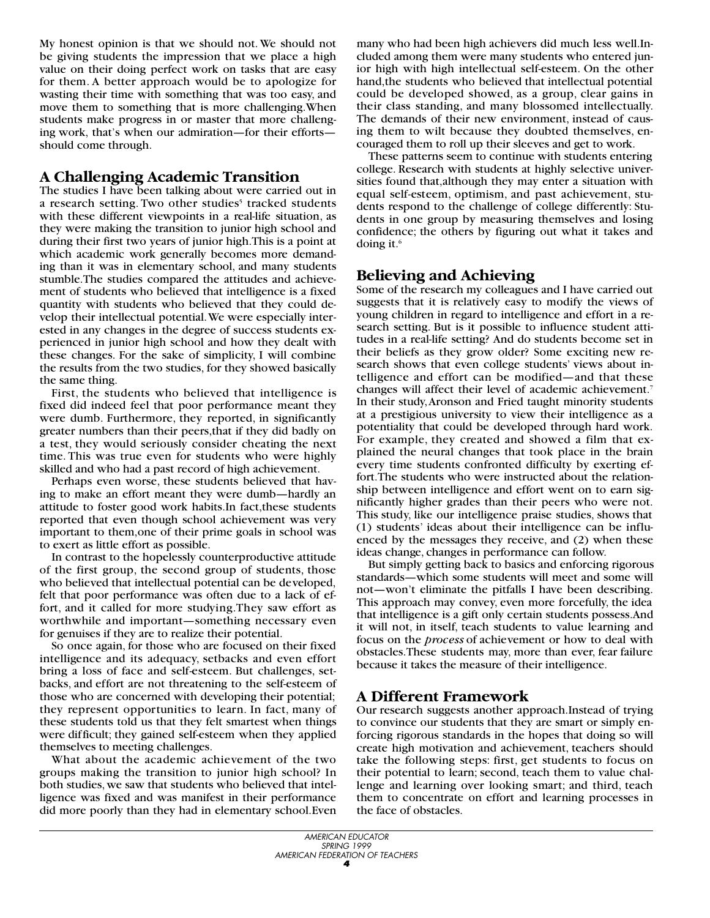My honest opinion is that we should not. We should not be giving students the impression that we place a high value on their doing perfect work on tasks that are easy for them. A better approach would be to apologize for wasting their time with something that was too easy, and move them to something that is more challenging.When students make progress in or master that more challenging work, that's when our admiration—for their efforts should come through.

# **A Challenging Academic Transition**

The studies I have been talking about were carried out in a research setting. Two other studies<sup>5</sup> tracked students with these different viewpoints in a real-life situation, as they were making the transition to junior high school and during their first two years of junior high.This is a point at which academic work generally becomes more demanding than it was in elementary school, and many students stumble.The studies compared the attitudes and achievement of students who believed that intelligence is a fixed quantity with students who believed that they could develop their intellectual potential.We were especially interested in any changes in the degree of success students experienced in junior high school and how they dealt with these changes. For the sake of simplicity, I will combine the results from the two studies, for they showed basically the same thing.

First, the students who believed that intelligence is fixed did indeed feel that poor performance meant they were dumb. Furthermore, they reported, in significantly greater numbers than their peers,that if they did badly on a test, they would seriously consider cheating the next time. This was true even for students who were highly skilled and who had a past record of high achievement.

Perhaps even worse, these students believed that having to make an effort meant they were dumb—hardly an attitude to foster good work habits.In fact,these students reported that even though school achievement was very important to them,one of their prime goals in school was to exert as little effort as possible.

In contrast to the hopelessly counterproductive attitude of the first group, the second group of students, those who believed that intellectual potential can be developed, felt that poor performance was often due to a lack of effort, and it called for more studying. They saw effort as worthwhile and important—something necessary even for genuises if they are to realize their potential.

So once again, for those who are focused on their fixed in telligence and its adequacy, set backs and even effort bring a loss of face and self-esteem. But challenges, setbacks, and effort are not threatening to the self-esteem of those who are concerned with developing their potential; they represent opportunities to learn. In fact, many of these students told us that they felt smartest when things were difficult; they gained self-esteem when they applied themselves to meeting challenges.

What about the academic achievement of the two groups making the transition to junior high school? In both studies, we saw that students who believed that intelligence was fixed and was manifest in their performance did more poorly than they had in elementary school.Even

many who had been high achievers did much less well.Included among them were many students who entered junior high with high intellectual self-esteem. On the other hand,the students who believed that intellectual potential could be developed showed, as a group, clear gains in their class standing, and many blossomed intellectually. The demands of their new environment, instead of causing them to wilt because they doubted themselves, encouraged them to roll up their sleeves and get to work.

These patterns seem to continue with students entering college. Research with students at highly selective universities found that,although they may enter a situation with equal self-esteem, optimism, and past achievement, students respond to the challenge of college differently: Students in one group by measuring themselves and losing confidence; the others by figuring out what it takes and doing it. $6$ 

## **Believing and Achieving**

Some of the research my colleagues and I have carried out suggests that it is relatively easy to modify the views of young children in regard to intelligence and effort in a research setting. But is it possible to influence student attitudes in a real-life setting? And do students become set in their beliefs as they grow older? Some exciting new research shows that even college students' views about intelligence and effort can be modified—and that these changes will affect their level of academic achievement.<sup>7</sup> In their study,Aronson and Fried taught minority students at a prestigious university to view their intelligence as a potentiality that could be developed through hard work. For example, they created and showed a film that explained the neural changes that took place in the brain every time students confronted difficulty by exerting effort.The students who were instructed about the relationship between intelligence and effort went on to earn significantly higher grades than their peers who were not. This study, like our intelligence praise studies, shows that  $(1)$  students' ideas about their intelligence can be influenced by the messages they receive, and (2) when these ideas change, changes in performance can follow.

But simply getting back to basics and enforcing rigorous standards—which some students will meet and some will not—won't eliminate the pitfalls I have been describing. This approach may convey, even more forcefully, the idea that intelligence is a gift only certain students possess.And it will not, in itself, teach students to value learning and focus on the *process* of achievement or how to deal with obstacles.These students may, more than ever, fear failure because it takes the measure of their intelligence.

# **A Diff e rent Framework**

Our research suggests another approach.Instead of trying to convince our students that they are smart or simply enforcing rigorous standards in the hopes that doing so will create high motivation and achievement, teachers should take the following steps: first, get students to focus on their potential to learn; second, teach them to value challenge and learning over looking smart; and third, teach them to concentrate on effort and learning processes in the face of obstacles.